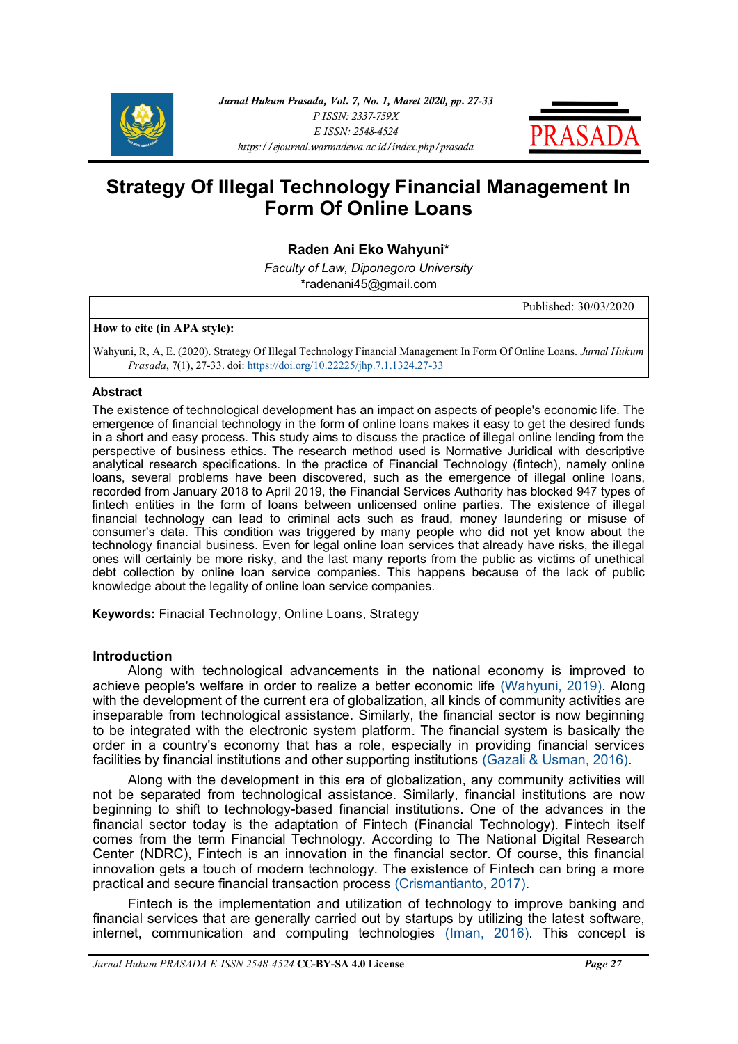



# **Strategy Of Illegal Technology Financial Management In Form Of Online Loans**

# **Raden Ani Eko Wahyuni\***

*Faculty of Law, Diponegoro University* [\\*radenani45@gmail.com](mailto:radenani45@gmail.com)

Published: 30/03/2020

## **How to cite (in APA style):**

Wahyuni, R, A, E. (2020). Strategy Of Illegal Technology Financial Management In Form Of Online Loans. *Jurnal Hukum Prasada*, 7(1), 27-33. doi: [https://doi.org/10.22225/jhp.7.1.1324.27](https://www.ejournal.warmadewa.ac.id/index.php/prasada/article/view/1324)-33

#### **Abstract**

The existence of technological development has an impact on aspects of people's economic life. The emergence of financial technology in the form of online loans makes it easy to get the desired funds in a short and easy process. This study aims to discuss the practice of illegal online lending from the perspective of business ethics. The research method used is Normative Juridical with descriptive analytical research specifications. In the practice of Financial Technology (fintech), namely online loans, several problems have been discovered, such as the emergence of illegal online loans, recorded from January 2018 to April 2019, the Financial Services Authority has blocked 947 types of fintech entities in the form of loans between unlicensed online parties. The existence of illegal financial technology can lead to criminal acts such as fraud, money laundering or misuse of consumer's data. This condition was triggered by many people who did not yet know about the technology financial business. Even for legal online loan services that already have risks, the illegal ones will certainly be more risky, and the last many reports from the public as victims of unethical debt collection by online loan service companies. This happens because of the lack of public knowledge about the legality of online loan service companies.

**Keywords:** Finacial Technology, Online Loans, Strategy

## **Introduction**

Along with technological advancements in the national economy is improved to achieve people's welfare in order to realize a better economic life [\(Wahyuni, 2019\).](#page-5-0) Along with the development of the current era of globalization, all kinds of community activities are inseparable from technological assistance. Similarly, the financial sector is now beginning to be integrated with the electronic system platform. The financial system is basically the order in a country's economy that has a role, especially in providing financial services facilities by financial institutions and other supporting institutions [\(Gazali & Usman, 2016\).](#page-5-0)

Along with the development in this era of globalization, any community activities will not be separated from technological assistance. Similarly, financial institutions are now beginning to shift to technology-based financial institutions. One of the advances in the financial sector today is the adaptation of Fintech (Financial Technology). Fintech itself comes from the term Financial Technology. According to The National Digital Research Center (NDRC), Fintech is an innovation in the financial sector. Of course, this financial innovation gets a touch of modern technology. The existence of Fintech can bring a more practical and secure financial transaction process [\(Crismantianto, 2017\).](#page-5-0)

Fintech is the implementation and utilization of technology to improve banking and financial services that are generally carried out by startups by utilizing the latest software, internet, communication and computing technologies [\(Iman, 2016\).](#page-5-0) This concept is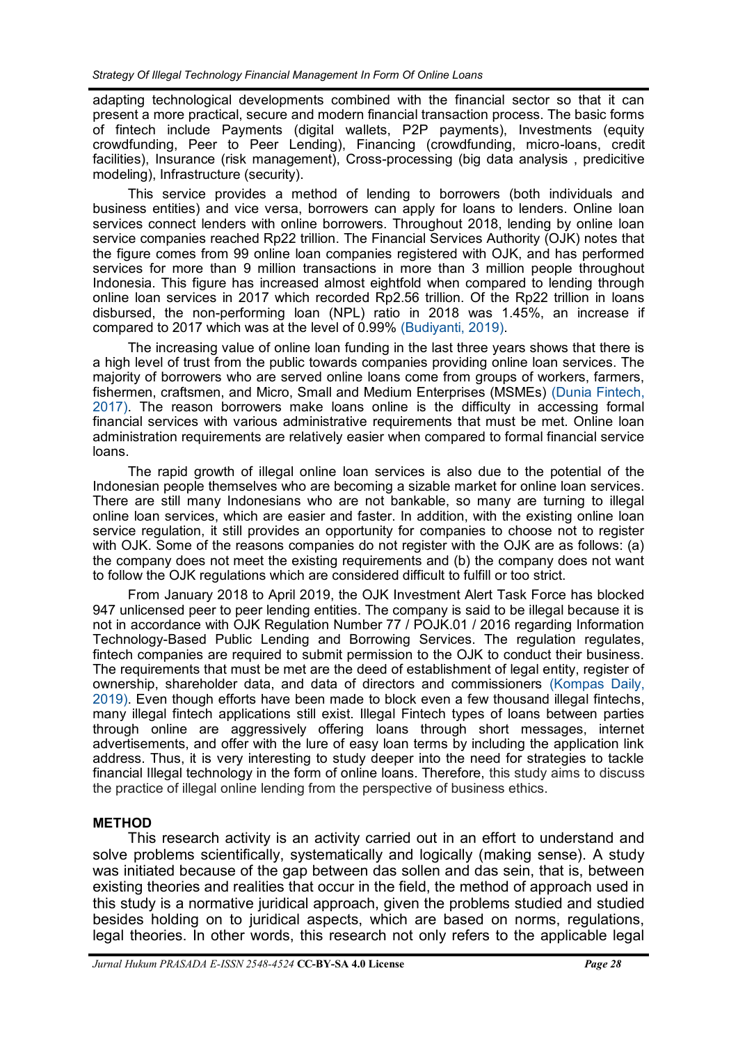adapting technological developments combined with the financial sector so that it can present a more practical, secure and modern financial transaction process. The basic forms of fintech include Payments (digital wallets, P2P payments), Investments (equity crowdfunding, Peer to Peer Lending), Financing (crowdfunding, micro-loans, credit facilities), Insurance (risk management), Cross-processing (big data analysis , predicitive modeling), Infrastructure (security).

This service provides a method of lending to borrowers (both individuals and business entities) and vice versa, borrowers can apply for loans to lenders. Online loan services connect lenders with online borrowers. Throughout 2018, lending by online loan service companies reached Rp22 trillion. The Financial Services Authority (OJK) notes that the figure comes from 99 online loan companies registered with OJK, and has performed services for more than 9 million transactions in more than 3 million people throughout Indonesia. This figure has increased almost eightfold when compared to lending through online loan services in 2017 which recorded Rp2.56 trillion. Of the Rp22 trillion in loans disbursed, the non-performing loan (NPL) ratio in 2018 was 1.45%, an increase if compared to 2017 which was at the level of 0.99% [\(Budiyanti, 2019\).](#page-5-0)

The increasing value of online loan funding in the last three years shows that there is a high level of trust from the public towards companies providing online loan services. The majority of borrowers who are served online loans come from groups of workers, farmers, fishermen, craftsmen, and Micro, Small and Medium Enterprises (MSMEs) [\(Dunia Fintech,](#page-5-0)  [2017\).](#page-5-0) The reason borrowers make loans online is the difficulty in accessing formal financial services with various administrative requirements that must be met. Online loan administration requirements are relatively easier when compared to formal financial service loans.

The rapid growth of illegal online loan services is also due to the potential of the Indonesian people themselves who are becoming a sizable market for online loan services. There are still many Indonesians who are not bankable, so many are turning to illegal online loan services, which are easier and faster. In addition, with the existing online loan service regulation, it still provides an opportunity for companies to choose not to register with OJK. Some of the reasons companies do not register with the OJK are as follows: (a) the company does not meet the existing requirements and (b) the company does not want to follow the OJK regulations which are considered difficult to fulfill or too strict.

From January 2018 to April 2019, the OJK Investment Alert Task Force has blocked 947 unlicensed peer to peer lending entities. The company is said to be illegal because it is not in accordance with OJK Regulation Number 77 / POJK.01 / 2016 regarding Information Technology-Based Public Lending and Borrowing Services. The regulation regulates, fintech companies are required to submit permission to the OJK to conduct their business. The requirements that must be met are the deed of establishment of legal entity, register of ownership, shareholder data, and data of directors and commissioners [\(Kompas Daily,](#page-5-0)  [2019\).](#page-5-0) Even though efforts have been made to block even a few thousand illegal fintechs, many illegal fintech applications still exist. Illegal Fintech types of loans between parties through online are aggressively offering loans through short messages, internet advertisements, and offer with the lure of easy loan terms by including the application link address. Thus, it is very interesting to study deeper into the need for strategies to tackle financial Illegal technology in the form of online loans. Therefore, this study aims to discuss the practice of illegal online lending from the perspective of business ethics.

## **METHOD**

This research activity is an activity carried out in an effort to understand and solve problems scientifically, systematically and logically (making sense). A study was initiated because of the gap between das sollen and das sein, that is, between existing theories and realities that occur in the field, the method of approach used in this study is a normative juridical approach, given the problems studied and studied besides holding on to juridical aspects, which are based on norms, regulations, legal theories. In other words, this research not only refers to the applicable legal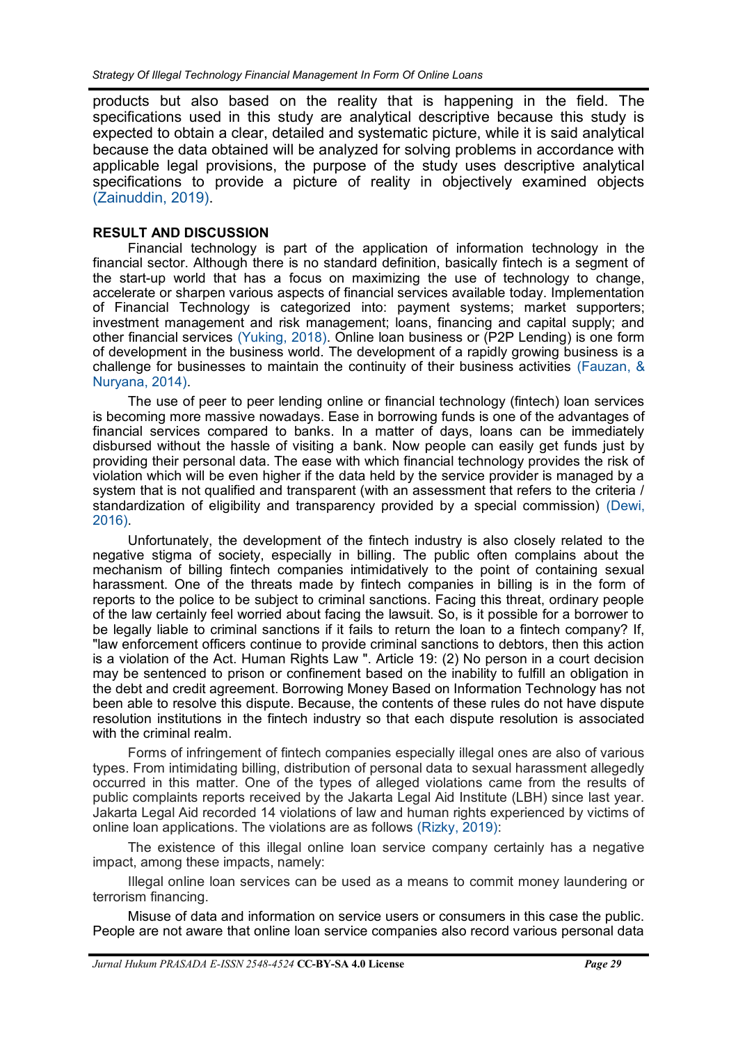products but also based on the reality that is happening in the field. The specifications used in this study are analytical descriptive because this study is expected to obtain a clear, detailed and systematic picture, while it is said analytical because the data obtained will be analyzed for solving problems in accordance with applicable legal provisions, the purpose of the study uses descriptive analytical specifications to provide a picture of reality in objectively examined objects [\(Zainuddin, 2019\).](#page-5-0)

## **RESULT AND DISCUSSION**

Financial technology is part of the application of information technology in the financial sector. Although there is no standard definition, basically fintech is a segment of the start-up world that has a focus on maximizing the use of technology to change, accelerate or sharpen various aspects of financial services available today. Implementation of Financial Technology is categorized into: payment systems; market supporters; investment management and risk management; loans, financing and capital supply; and other financial services [\(Yuking, 2018\).](#page-5-0) Online loan business or (P2P Lending) is one form of development in the business world. The development of a rapidly growing business is a challenge for businesses to maintain the continuity of their business activities [\(Fauzan, &](#page-5-0)  [Nuryana, 2014\).](#page-5-0)

The use of peer to peer lending online or financial technology (fintech) loan services is becoming more massive nowadays. Ease in borrowing funds is one of the advantages of financial services compared to banks. In a matter of days, loans can be immediately disbursed without the hassle of visiting a bank. Now people can easily get funds just by providing their personal data. The ease with which financial technology provides the risk of violation which will be even higher if the data held by the service provider is managed by a system that is not qualified and transparent (with an assessment that refers to the criteria / standardization of eligibility and transparency provided by a special commission) [\(Dewi,](#page-5-0)  [2016\).](#page-5-0)

Unfortunately, the development of the fintech industry is also closely related to the negative stigma of society, especially in billing. The public often complains about the mechanism of billing fintech companies intimidatively to the point of containing sexual harassment. One of the threats made by fintech companies in billing is in the form of reports to the police to be subject to criminal sanctions. Facing this threat, ordinary people of the law certainly feel worried about facing the lawsuit. So, is it possible for a borrower to be legally liable to criminal sanctions if it fails to return the loan to a fintech company? If, "law enforcement officers continue to provide criminal sanctions to debtors, then this action is a violation of the Act. Human Rights Law ". Article 19: (2) No person in a court decision may be sentenced to prison or confinement based on the inability to fulfill an obligation in the debt and credit agreement. Borrowing Money Based on Information Technology has not been able to resolve this dispute. Because, the contents of these rules do not have dispute resolution institutions in the fintech industry so that each dispute resolution is associated with the criminal realm.

Forms of infringement of fintech companies especially illegal ones are also of various types. From intimidating billing, distribution of personal data to sexual harassment allegedly occurred in this matter. One of the types of alleged violations came from the results of public complaints reports received by the Jakarta Legal Aid Institute (LBH) since last year. Jakarta Legal Aid recorded 14 violations of law and human rights experienced by victims of online loan applications. The violations are as follows [\(Rizky, 2019\):](#page-5-0)

The existence of this illegal online loan service company certainly has a negative impact, among these impacts, namely:

Illegal online loan services can be used as a means to commit money laundering or terrorism financing.

Misuse of data and information on service users or consumers in this case the public. People are not aware that online loan service companies also record various personal data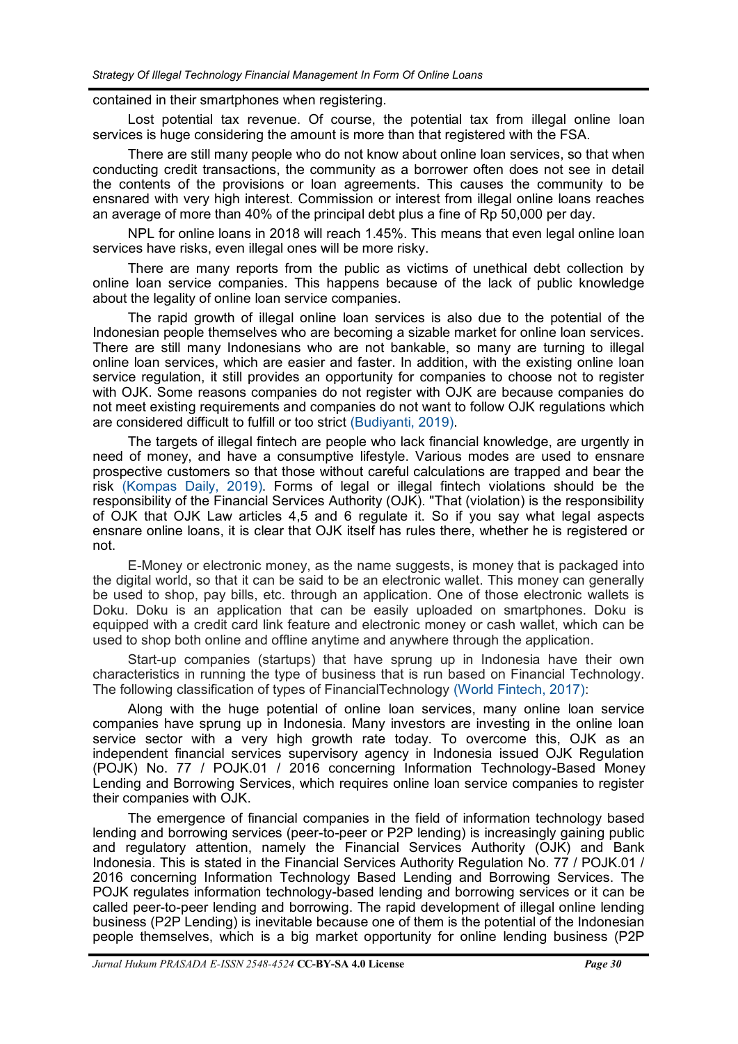#### contained in their smartphones when registering.

Lost potential tax revenue. Of course, the potential tax from illegal online loan services is huge considering the amount is more than that registered with the FSA.

There are still many people who do not know about online loan services, so that when conducting credit transactions, the community as a borrower often does not see in detail the contents of the provisions or loan agreements. This causes the community to be ensnared with very high interest. Commission or interest from illegal online loans reaches an average of more than 40% of the principal debt plus a fine of Rp 50,000 per day.

NPL for online loans in 2018 will reach 1.45%. This means that even legal online loan services have risks, even illegal ones will be more risky.

There are many reports from the public as victims of unethical debt collection by online loan service companies. This happens because of the lack of public knowledge about the legality of online loan service companies.

The rapid growth of illegal online loan services is also due to the potential of the Indonesian people themselves who are becoming a sizable market for online loan services. There are still many Indonesians who are not bankable, so many are turning to illegal online loan services, which are easier and faster. In addition, with the existing online loan service regulation, it still provides an opportunity for companies to choose not to register with OJK. Some reasons companies do not register with OJK are because companies do not meet existing requirements and companies do not want to follow OJK regulations which are considered difficult to fulfill or too strict [\(Budiyanti, 2019\).](#page-5-0)

The targets of illegal fintech are people who lack financial knowledge, are urgently in need of money, and have a consumptive lifestyle. Various modes are used to ensnare prospective customers so that those without careful calculations are trapped and bear the risk [\(Kompas Daily, 2019\).](#page-5-0) Forms of legal or illegal fintech violations should be the responsibility of the Financial Services Authority (OJK). "That (violation) is the responsibility of OJK that OJK Law articles 4,5 and 6 regulate it. So if you say what legal aspects ensnare online loans, it is clear that OJK itself has rules there, whether he is registered or not.

E-Money or electronic money, as the name suggests, is money that is packaged into the digital world, so that it can be said to be an electronic wallet. This money can generally be used to shop, pay bills, etc. through an application. One of those electronic wallets is Doku. Doku is an application that can be easily uploaded on smartphones. Doku is equipped with a credit card link feature and electronic money or cash wallet, which can be used to shop both online and offline anytime and anywhere through the application.

Start-up companies (startups) that have sprung up in Indonesia have their own characteristics in running the type of business that is run based on Financial Technology. The following classification of types of FinancialTechnology [\(World Fintech, 2017\):](#page-5-0)

Along with the huge potential of online loan services, many online loan service companies have sprung up in Indonesia. Many investors are investing in the online loan service sector with a very high growth rate today. To overcome this, OJK as an independent financial services supervisory agency in Indonesia issued OJK Regulation (POJK) No. 77 / POJK.01 / 2016 concerning Information Technology-Based Money Lending and Borrowing Services, which requires online loan service companies to register their companies with OJK.

The emergence of financial companies in the field of information technology based lending and borrowing services (peer-to-peer or P2P lending) is increasingly gaining public and regulatory attention, namely the Financial Services Authority (OJK) and Bank Indonesia. This is stated in the Financial Services Authority Regulation No. 77 / POJK.01 / 2016 concerning Information Technology Based Lending and Borrowing Services. The POJK regulates information technology-based lending and borrowing services or it can be called peer-to-peer lending and borrowing. The rapid development of illegal online lending business (P2P Lending) is inevitable because one of them is the potential of the Indonesian people themselves, which is a big market opportunity for online lending business (P2P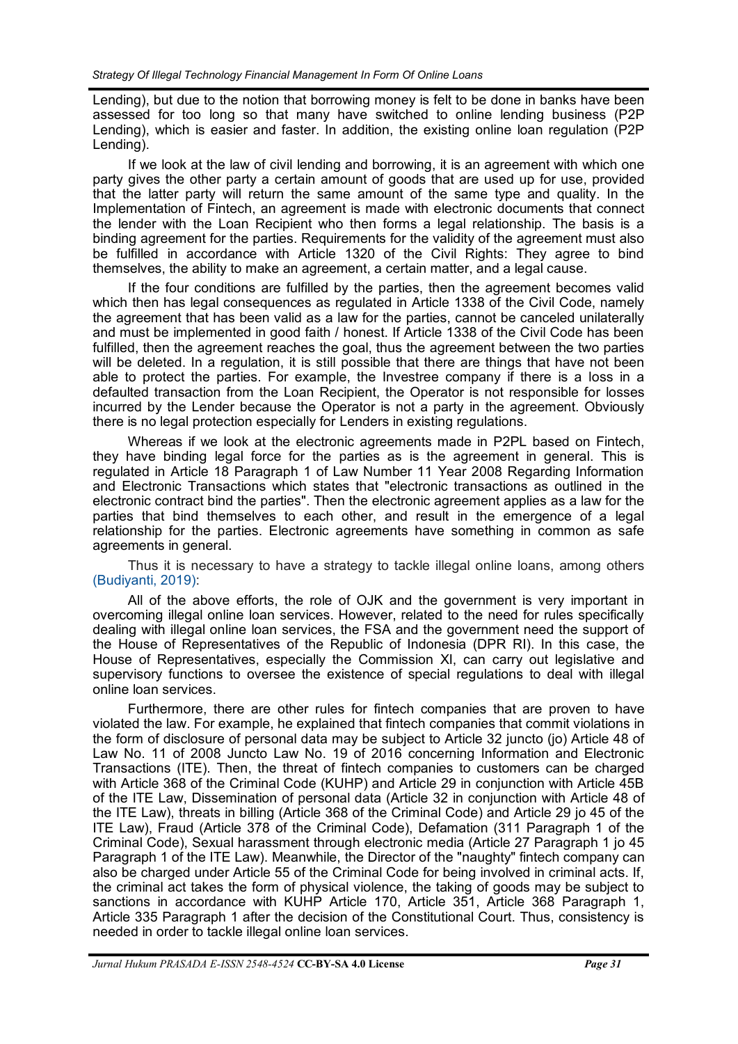Lending), but due to the notion that borrowing money is felt to be done in banks have been assessed for too long so that many have switched to online lending business (P2P Lending), which is easier and faster. In addition, the existing online loan regulation (P2P Lending).

If we look at the law of civil lending and borrowing, it is an agreement with which one party gives the other party a certain amount of goods that are used up for use, provided that the latter party will return the same amount of the same type and quality. In the Implementation of Fintech, an agreement is made with electronic documents that connect the lender with the Loan Recipient who then forms a legal relationship. The basis is a binding agreement for the parties. Requirements for the validity of the agreement must also be fulfilled in accordance with Article 1320 of the Civil Rights: They agree to bind themselves, the ability to make an agreement, a certain matter, and a legal cause.

If the four conditions are fulfilled by the parties, then the agreement becomes valid which then has legal consequences as regulated in Article 1338 of the Civil Code, namely the agreement that has been valid as a law for the parties, cannot be canceled unilaterally and must be implemented in good faith / honest. If Article 1338 of the Civil Code has been fulfilled, then the agreement reaches the goal, thus the agreement between the two parties will be deleted. In a regulation, it is still possible that there are things that have not been able to protect the parties. For example, the Investree company if there is a loss in a defaulted transaction from the Loan Recipient, the Operator is not responsible for losses incurred by the Lender because the Operator is not a party in the agreement. Obviously there is no legal protection especially for Lenders in existing regulations.

Whereas if we look at the electronic agreements made in P2PL based on Fintech, they have binding legal force for the parties as is the agreement in general. This is regulated in Article 18 Paragraph 1 of Law Number 11 Year 2008 Regarding Information and Electronic Transactions which states that "electronic transactions as outlined in the electronic contract bind the parties". Then the electronic agreement applies as a law for the parties that bind themselves to each other, and result in the emergence of a legal relationship for the parties. Electronic agreements have something in common as safe agreements in general.

Thus it is necessary to have a strategy to tackle illegal online loans, among others [\(Budiyanti, 2019\):](#page-5-0)

All of the above efforts, the role of OJK and the government is very important in overcoming illegal online loan services. However, related to the need for rules specifically dealing with illegal online loan services, the FSA and the government need the support of the House of Representatives of the Republic of Indonesia (DPR RI). In this case, the House of Representatives, especially the Commission XI, can carry out legislative and supervisory functions to oversee the existence of special regulations to deal with illegal online loan services.

Furthermore, there are other rules for fintech companies that are proven to have violated the law. For example, he explained that fintech companies that commit violations in the form of disclosure of personal data may be subject to Article 32 juncto (jo) Article 48 of Law No. 11 of 2008 Juncto Law No. 19 of 2016 concerning Information and Electronic Transactions (ITE). Then, the threat of fintech companies to customers can be charged with Article 368 of the Criminal Code (KUHP) and Article 29 in conjunction with Article 45B of the ITE Law, Dissemination of personal data (Article 32 in conjunction with Article 48 of the ITE Law), threats in billing (Article 368 of the Criminal Code) and Article 29 jo 45 of the ITE Law), Fraud (Article 378 of the Criminal Code), Defamation (311 Paragraph 1 of the Criminal Code), Sexual harassment through electronic media (Article 27 Paragraph 1 jo 45 Paragraph 1 of the ITE Law). Meanwhile, the Director of the "naughty" fintech company can also be charged under Article 55 of the Criminal Code for being involved in criminal acts. If, the criminal act takes the form of physical violence, the taking of goods may be subject to sanctions in accordance with KUHP Article 170, Article 351, Article 368 Paragraph 1, Article 335 Paragraph 1 after the decision of the Constitutional Court. Thus, consistency is needed in order to tackle illegal online loan services.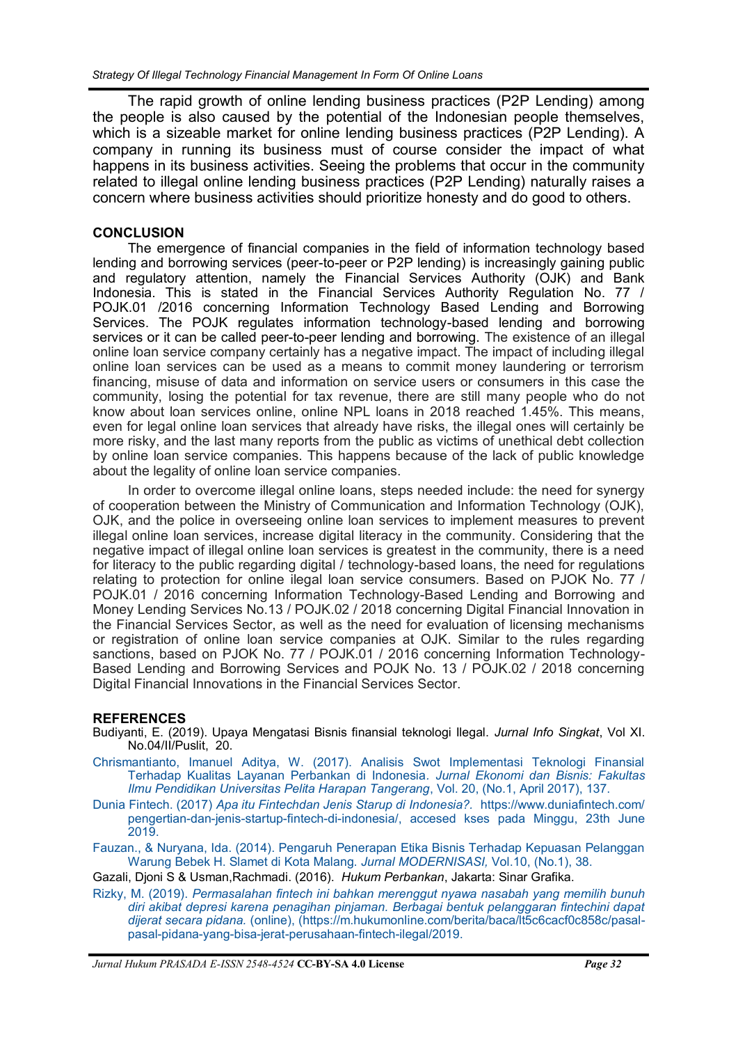<span id="page-5-0"></span>The rapid growth of online lending business practices (P2P Lending) among the people is also caused by the potential of the Indonesian people themselves, which is a sizeable market for online lending business practices (P2P Lending). A company in running its business must of course consider the impact of what happens in its business activities. Seeing the problems that occur in the community related to illegal online lending business practices (P2P Lending) naturally raises a concern where business activities should prioritize honesty and do good to others.

## **CONCLUSION**

The emergence of financial companies in the field of information technology based lending and borrowing services (peer-to-peer or P2P lending) is increasingly gaining public and regulatory attention, namely the Financial Services Authority (OJK) and Bank Indonesia. This is stated in the Financial Services Authority Regulation No. 77 / POJK.01 /2016 concerning Information Technology Based Lending and Borrowing Services. The POJK regulates information technology-based lending and borrowing services or it can be called peer-to-peer lending and borrowing. The existence of an illegal online loan service company certainly has a negative impact. The impact of including illegal online loan services can be used as a means to commit money laundering or terrorism financing, misuse of data and information on service users or consumers in this case the community, losing the potential for tax revenue, there are still many people who do not know about loan services online, online NPL loans in 2018 reached 1.45%. This means, even for legal online loan services that already have risks, the illegal ones will certainly be more risky, and the last many reports from the public as victims of unethical debt collection by online loan service companies. This happens because of the lack of public knowledge about the legality of online loan service companies.

In order to overcome illegal online loans, steps needed include: the need for synergy of cooperation between the Ministry of Communication and Information Technology (OJK), OJK, and the police in overseeing online loan services to implement measures to prevent illegal online loan services, increase digital literacy in the community. Considering that the negative impact of illegal online loan services is greatest in the community, there is a need for literacy to the public regarding digital / technology-based loans, the need for regulations relating to protection for online ilegal loan service consumers. Based on PJOK No. 77 / POJK.01 / 2016 concerning Information Technology-Based Lending and Borrowing and Money Lending Services No.13 / POJK.02 / 2018 concerning Digital Financial Innovation in the Financial Services Sector, as well as the need for evaluation of licensing mechanisms or registration of online loan service companies at OJK. Similar to the rules regarding sanctions, based on PJOK No. 77 / POJK.01 / 2016 concerning Information Technology-Based Lending and Borrowing Services and POJK No. 13 / POJK.02 / 2018 concerning Digital Financial Innovations in the Financial Services Sector.

## **REFERENCES**

- Budiyanti, E. (2019). Upaya Mengatasi Bisnis finansial teknologi Ilegal. *Jurnal Info Singkat*, Vol XI. No.04/II/Puslit, 20.
- [Chrismantianto, Imanuel Aditya, W. \(2017\). Analisis Swot Implementasi Teknologi Finansial](https://www.google.com/url?sa=t&rct=j&q=&esrc=s&source=web&cd=1&cad=rja&uact=8&ved=2ahUKEwjRi-jlrsHoAhV24HMBHUpADAEQFjAAegQIAxAB&url=https%3A%2F%2Fejournal.uksw.edu%2Fjeb%2Farticle%2Fview%2F641&usg=AOvVaw3Ms-c5sC1B4-La_f_t-VlU)  [Terhadap Kualitas Layanan Perbankan di Indonesia](https://www.google.com/url?sa=t&rct=j&q=&esrc=s&source=web&cd=1&cad=rja&uact=8&ved=2ahUKEwjRi-jlrsHoAhV24HMBHUpADAEQFjAAegQIAxAB&url=https%3A%2F%2Fejournal.uksw.edu%2Fjeb%2Farticle%2Fview%2F641&usg=AOvVaw3Ms-c5sC1B4-La_f_t-VlU)*. Jurnal Ekonomi dan Bisnis: Fakultas [Ilmu Pendidikan Universitas Pelita Harapan Tangerang](https://www.google.com/url?sa=t&rct=j&q=&esrc=s&source=web&cd=1&cad=rja&uact=8&ved=2ahUKEwjRi-jlrsHoAhV24HMBHUpADAEQFjAAegQIAxAB&url=https%3A%2F%2Fejournal.uksw.edu%2Fjeb%2Farticle%2Fview%2F641&usg=AOvVaw3Ms-c5sC1B4-La_f_t-VlU)*, Vol. 20, (No.1, April 2017), 137.
- [Dunia](https://www.duniafintech.com/pengertian-dan-jenis-startup-fintech-di-indonesia/) Fintech. (2017) *Apa itu Fintechdan Jenis Starup di Indonesia?.* [https://www.duniafintech.com/](https://www.duniafintech.com/pengertian-dan-jenis-startup-fintech-di-indonesia/) pengertian-dan-jenis-startup-fintech-di-[indonesia/,](https://www.duniafintech.com/pengertian-dan-jenis-startup-fintech-di-indonesia/) accesed kses pada Minggu, 23th June 2019.
- [Fauzan., & Nuryana, Ida. \(2014\). Pengaruh Penerapan Etika Bisnis Terhadap Kepuasan Pelanggan](https://www.google.com/url?sa=t&rct=j&q=&esrc=s&source=web&cd=1&cad=rja&uact=8&ved=2ahUKEwjWjav7rsHoAhXd6XMBHd2jAo0QFjAAegQIAxAB&url=http%3A%2F%2Fejournal.unikama.ac.id%2Findex.php%2FJEKO%2Farticle%2Fview%2F774&usg=AOvVaw3K206B5ygeba88qV93kgfD)  [Warung Bebek H. Slamet di Kota Malang.](https://www.google.com/url?sa=t&rct=j&q=&esrc=s&source=web&cd=1&cad=rja&uact=8&ved=2ahUKEwjWjav7rsHoAhXd6XMBHd2jAo0QFjAAegQIAxAB&url=http%3A%2F%2Fejournal.unikama.ac.id%2Findex.php%2FJEKO%2Farticle%2Fview%2F774&usg=AOvVaw3K206B5ygeba88qV93kgfD) *Jurnal MODERNISASI,* Vol.10, (No.1), 38.

Gazali, Djoni S & Usman,Rachmadi. (2016). *Hukum Perbankan*, Jakarta: Sinar Grafika.

[Rizky,](https://m.hukumonline.com/berita/baca/lt5c6cacf0c858c/pasal-pasal-pidana-yang-bisa-jerat-perusahaan-fintech-ilegal/2019) M. (2019). *Permasalahan fintech ini bahkan merenggut nyawa nasabah yang memilih bunuh diri akibat depresi karena penagihan pinjaman. Berbagai bentuk pelanggaran fintechini dapat dijerat secara pidana.* (online), [\(https://m.hukumonline.com/berita/baca/lt5c6cacf0c858c/pasal](https://m.hukumonline.com/berita/baca/lt5c6cacf0c858c/pasal-pasal-pidana-yang-bisa-jerat-perusahaan-fintech-ilegal/)pasal-pidana-yang-bisa-jerat-[perusahaan](https://m.hukumonline.com/berita/baca/lt5c6cacf0c858c/pasal-pasal-pidana-yang-bisa-jerat-perusahaan-fintech-ilegal/)-fintech-ilegal/2019.

*Jurnal Hukum PRASADA E-ISSN 2548-4524* **CC-BY-SA 4.0 License** *Page 32*